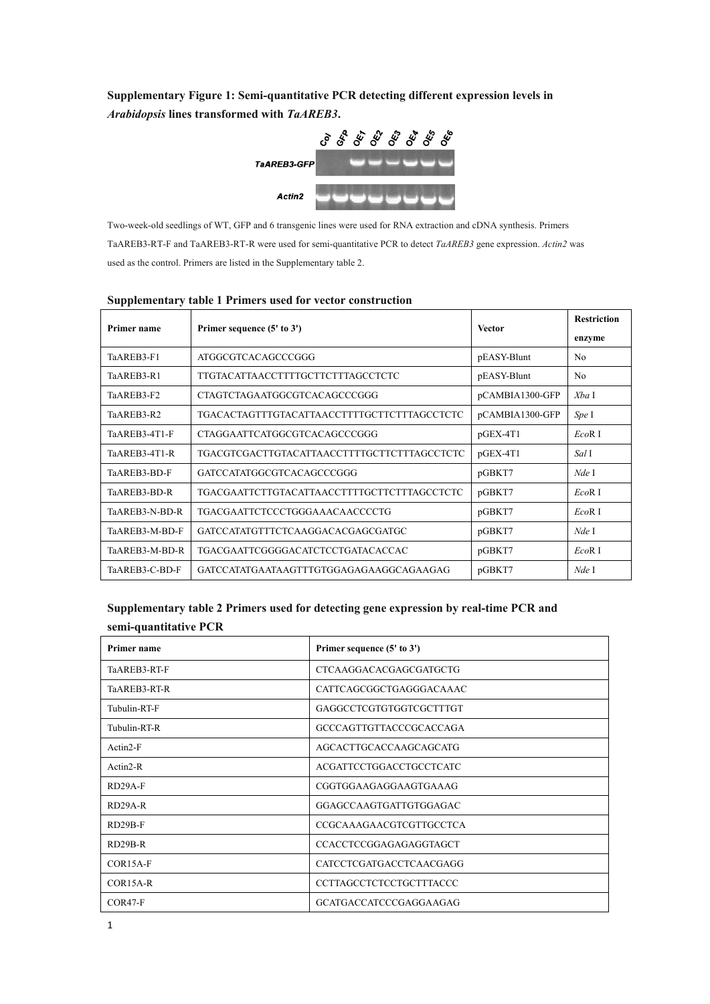**Supplementary Figure 1: Semi-quantitative PCR detecting different expression levels in**  *Arabidopsis* **lines transformed with** *TaAREB3***.** 



Two-week-old seedlings of WT, GFP and 6 transgenic lines were used for RNA extraction and cDNA synthesis. Primers TaAREB3-RT-F and TaAREB3-RT-R were used for semi-quantitative PCR to detect *TaAREB3* gene expression. *Actin2* was used as the control. Primers are listed in the Supplementary table 2.

| $\sim$ approximation $\frac{1}{2}$ values in the state and the state of computer |                                             |                 |                              |  |
|----------------------------------------------------------------------------------|---------------------------------------------|-----------------|------------------------------|--|
| <b>Primer name</b>                                                               | Primer sequence (5' to 3')                  | <b>Vector</b>   | <b>Restriction</b><br>enzyme |  |
| TaAREB3-F1                                                                       | ATGGCGTCACAGCCCGGG                          | pEASY-Blunt     | N <sub>0</sub>               |  |
| TaAREB3-R1                                                                       | TTGTACATTAACCTTTTGCTTCTTTAGCCTCTC           | pEASY-Blunt     | N <sub>0</sub>               |  |
| TaAREB3-F2                                                                       | CTAGTCTAGAATGGCGTCACAGCCCGGG                | pCAMBIA1300-GFP | Xba I                        |  |
| TaAREB3-R2                                                                       | TGACACTAGTTTGTACATTAACCTTTTGCTTCTTTAGCCTCTC | pCAMBIA1300-GFP | Spe I                        |  |
| TaAREB3-4T1-F                                                                    | CTAGGAATTCATGGCGTCACAGCCCGGG                | pGEX-4T1        | $EcoR$ I                     |  |
| TaAREB3-4T1-R                                                                    | TGACGTCGACTTGTACATTAACCTTTTGCTTCTTTAGCCTCTC | $pGEX-4T1$      | Sal I                        |  |
| TaAREB3-BD-F                                                                     | GATCCATATGGCGTCACAGCCCGGG                   | pGBKT7          | Nde I                        |  |
| TaAREB3-BD-R                                                                     | TGACGAATTCTTGTACATTAACCTTTTGCTTCTTTAGCCTCTC | pGBKT7          | $EcoR$ I                     |  |
| TaAREB3-N-BD-R                                                                   | TGACGAATTCTCCCTGGGAAACAACCCCTG              | pGBKT7          | EcoR <sub>I</sub>            |  |
| TaAREB3-M-BD-F                                                                   | GATCCATATGTTTCTCAAGGACACGAGCGATGC           | pGBKT7          | Nde I                        |  |
| TaAREB3-M-BD-R                                                                   | TGACGAATTCGGGGACATCTCCTGATACACCAC           | pGBKT7          | EcoR <sub>I</sub>            |  |
| TaAREB3-C-BD-F                                                                   | GATCCATATGAATAAGTTTGTGGAGAGAAGGCAGAAGAG     | pGBKT7          | Nde I                        |  |

## **Supplementary table 1 Primers used for vector construction**

## **Supplementary table 2 Primers used for detecting gene expression by real-time PCR and semi-quantitative PCR**

| Primer name  | Primer sequence (5' to 3')     |
|--------------|--------------------------------|
| TaAREB3-RT-F | CTCAAGGACACGAGCGATGCTG         |
| TaAREB3-RT-R | CATTCAGCGGCTGAGGGACAAAC        |
| Tubulin-RT-F | GAGGCCTCGTGTGGTCGCTTTGT        |
| Tubulin-RT-R | GCCCAGTTGTTACCCGCACCAGA        |
| Actin2-F     | AGCACTTGCACCAAGCAGCATG         |
| $Actin2-R$   | <b>ACGATTCCTGGACCTGCCTCATC</b> |
| $RD29A-F$    | CGGTGGAAGAGGAAGTGAAAG          |
| $RD29A-R$    | GGAGCCAAGTGATTGTGGAGAC         |
| $RD29B-F$    | <b>CCGCAAAGAACGTCGTTGCCTCA</b> |
| $RD29B-R$    | <b>CCACCTCCGGAGAGAGGTAGCT</b>  |
| $COR15A-F$   | CATCCTCGATGACCTCAACGAGG        |
| COR15A-R     | <b>CCTTAGCCTCTCCTGCTTTACCC</b> |
| $COR47-F$    | GCATGACCATCCCGAGGAAGAG         |